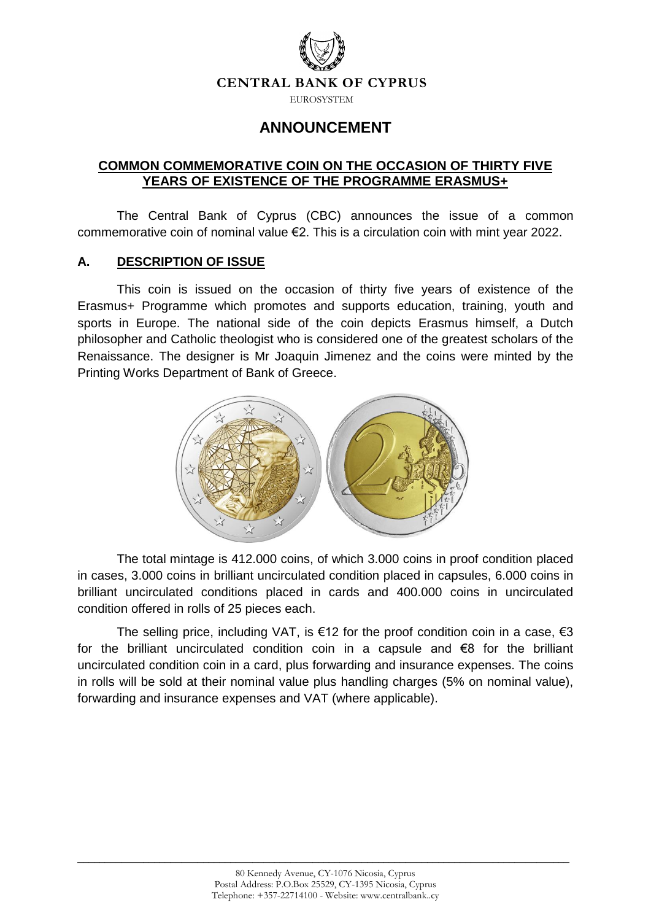

EUROSYSTEM

# **ANNOUNCEMENT**

# **COMMON COMMEMORATIVE COIN ON THE OCCASION OF THIRTY FIVE YEARS OF EXISTENCE OF THE PROGRAMME ERASMUS+**

The Central Bank of Cyprus (CBC) announces the issue of a common commemorative coin of nominal value €2. This is a circulation coin with mint year 2022.

# **A. DESCRIPTION OF ISSUE**

This coin is issued on the occasion of thirty five years of existence of the Erasmus+ Programme which promotes and supports education, training, youth and sports in Europe. The national side of the coin depicts Erasmus himself, a Dutch philosopher and Catholic theologist who is considered one of the greatest scholars of the Renaissance. The designer is Mr Joaquin Jimenez and the coins were minted by the Printing Works Department of Bank of Greece.



The total mintage is 412.000 coins, of which 3.000 coins in proof condition placed in cases, 3.000 coins in brilliant uncirculated condition placed in capsules, 6.000 coins in brilliant uncirculated conditions placed in cards and 400.000 coins in uncirculated condition offered in rolls of 25 pieces each.

The selling price, including VAT, is  $\epsilon$ 12 for the proof condition coin in a case,  $\epsilon$ 3 for the brilliant uncirculated condition coin in a capsule and  $\epsilon$ 8 for the brilliant uncirculated condition coin in a card, plus forwarding and insurance expenses. The coins in rolls will be sold at their nominal value plus handling charges (5% on nominal value), forwarding and insurance expenses and VAT (where applicable).

\_\_\_\_\_\_\_\_\_\_\_\_\_\_\_\_\_\_\_\_\_\_\_\_\_\_\_\_\_\_\_\_\_\_\_\_\_\_\_\_\_\_\_\_\_\_\_\_\_\_\_\_\_\_\_\_\_\_\_\_\_\_\_\_\_\_\_\_\_\_\_\_\_\_\_\_\_\_\_\_\_\_\_\_\_\_\_\_\_\_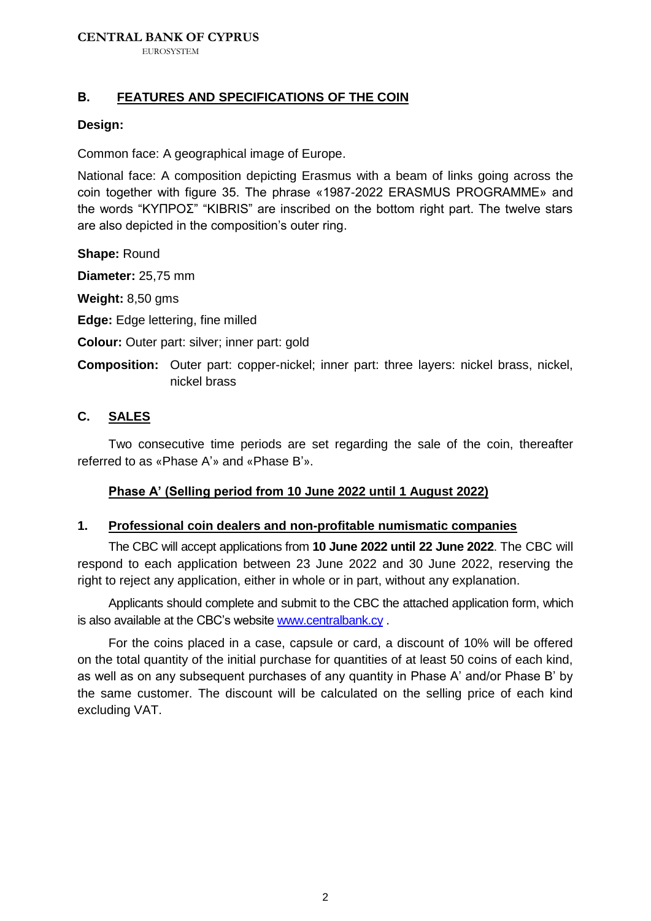## **CENTRAL BANK OF CYPRUS**

EUROSYSTEM

## **Β. FEATURES AND SPECIFICATIONS OF THE COIN**

#### **Design:**

Common face: A geographical image of Europe.

National face: A composition depicting Erasmus with a beam of links going across the coin together with figure 35. The phrase «1987-2022 ERASMUS PROGRAMME» and the words "ΚΥΠΡΟΣ" "KIBRIS" are inscribed on the bottom right part. The twelve stars are also depicted in the composition's outer ring.

**Shape:** Round

**Diameter:** 25,75 mm

**Weight:** 8,50 gms

**Edge:** Edge lettering, fine milled

**Colour:** Outer part: silver; inner part: gold

**Composition:** Outer part: copper-nickel; inner part: three layers: nickel brass, nickel, nickel brass

# **C. SALES**

Two consecutive time periods are set regarding the sale of the coin, thereafter referred to as «Phase A'» and «Phase B'».

## **Phase A' (Selling period from 10 June 2022 until 1 August 2022)**

#### **1. Professional coin dealers and non-profitable numismatic companies**

The CBC will accept applications from **10 June 2022 until 22 June 2022**. The CBC will respond to each application between 23 June 2022 and 30 June 2022, reserving the right to reject any application, either in whole or in part, without any explanation.

Applicants should complete and submit to the CBC the attached application form, which is also available at the CBC's website [www.centralbank.cy](http://www.centralbank.cy/) .

For the coins placed in a case, capsule or card, a discount of 10% will be offered on the total quantity of the initial purchase for quantities of at least 50 coins of each kind, as well as on any subsequent purchases of any quantity in Phase A' and/or Phase B' by the same customer. The discount will be calculated on the selling price of each kind excluding VAT.